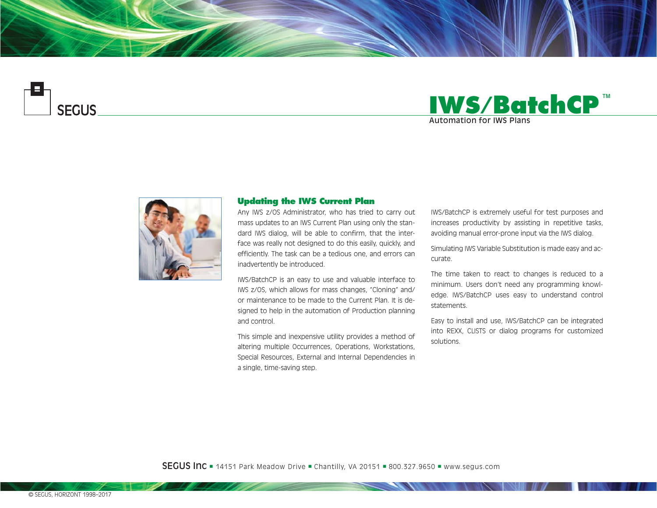





## **Updating the IWS Current Plan**

Any IWS z/OS Administrator, who has tried to carry out mass updates to an IWS Current Plan using only the standard IWS dialog, will be able to confirm, that the interface was really not designed to do this easily, quickly, and efficiently. The task can be a tedious one, and errors can inadvertently be introduced.

IWS/BatchCP is an easy to use and valuable interface to IWS z/OS, which allows for mass changes, "Cloning" and/ or maintenance to be made to the Current Plan. It is designed to help in the automation of Production planning and control.

This simple and inexpensive utility provides a method of altering multiple Occurrences, Operations, Workstations, Special Resources, External and Internal Dependencies in a single, time-saving step.

IWS/BatchCP is extremely useful for test purposes and increases productivity by assisting in repetitive tasks, avoiding manual error-prone input via the IWS dialog.

Simulating IWS Variable Substitution is made easy and accurate.

The time taken to react to changes is reduced to a minimum. Users don't need any programming knowledge. IWS/BatchCP uses easy to understand control statements.

Easy to install and use, IWS/BatchCP can be integrated into REXX, CLISTS or dialog programs for customized solutions.

**SEGUS Inc**  $= 14151$  Park Meadow Drive  $=$  Chantilly, VA 20151  $= 800.327.9650$   $=$  www.segus.com